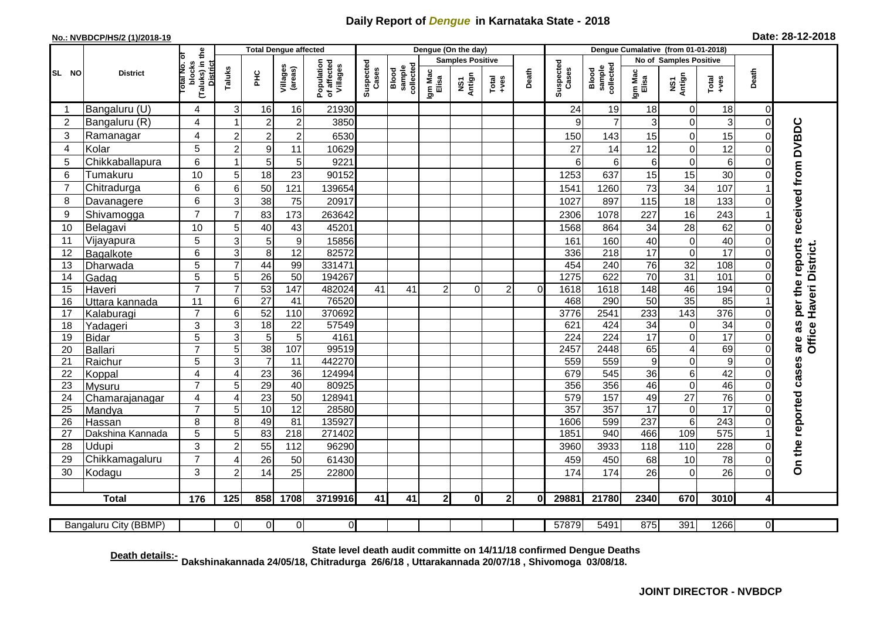## **Daily Report of** *Dengue* **in Karnataka State - 2018**

## **No.: NVBDCP/HS/2 (1)/2018-19 Date: 28-12-2018**

|                 | <b>District</b>          |                                                           | <b>Total Dengue affected</b> |                  |                     |                                       |                    |                              |                  | Dengue (On the day)     |                  |          |                    |                              |                  |                         |                      |                               |                                     |
|-----------------|--------------------------|-----------------------------------------------------------|------------------------------|------------------|---------------------|---------------------------------------|--------------------|------------------------------|------------------|-------------------------|------------------|----------|--------------------|------------------------------|------------------|-------------------------|----------------------|-------------------------------|-------------------------------------|
|                 |                          | ō                                                         |                              |                  |                     |                                       |                    |                              |                  | <b>Samples Positive</b> |                  |          |                    |                              |                  | No of Samples Positive  |                      |                               |                                     |
| SL NO           |                          | (Taluks) in the<br>Total No.<br>blocks<br><b>District</b> | Taluks                       | ЭHС              | Villages<br>(areas) | Population<br>of affected<br>Villages | Suspected<br>Cases | sample<br>collected<br>Blood | Igm Mac<br>Elisa | NS1<br>Antign           | $Tota$<br>$+ves$ | Death    | Suspected<br>Cases | collected<br>sample<br>Blood | Igm Mac<br>Elisa | NS1<br>Antign           | $Tota$<br>$+ves$     | Death                         |                                     |
|                 | Bangaluru (U)            | 4                                                         | 3                            | 16               | 16                  | 21930                                 |                    |                              |                  |                         |                  |          | 24                 | 19                           | 18               | 0                       | 18                   | $\mathbf 0$                   |                                     |
| $\overline{2}$  | Bangaluru (R)            | 4                                                         |                              | $\overline{2}$   | $\overline{c}$      | 3850                                  |                    |                              |                  |                         |                  |          | 9                  | $\overline{7}$               | 3                | $\mathbf 0$             | 3                    | $\mathbf 0$                   |                                     |
| 3               | Ramanagar                | 4                                                         | $\overline{2}$               | $\overline{2}$   | $\overline{c}$      | 6530                                  |                    |                              |                  |                         |                  |          | 150                | 143                          | 15               | $\overline{0}$          | 15                   | $\Omega$                      | per the reports received from DVBDC |
| 4               | Kolar                    | 5                                                         | $\overline{2}$               | $\boldsymbol{9}$ | 11                  | 10629                                 |                    |                              |                  |                         |                  |          | 27                 | 14                           | 12               | 0                       | 12                   | $\mathbf 0$                   |                                     |
| 5               | Chikkaballapura          | 6                                                         |                              | 5                | 5                   | 9221                                  |                    |                              |                  |                         |                  |          | 6                  | 6 <sup>1</sup>               | 6                | 0                       | 6                    | $\Omega$                      |                                     |
| 6               | Tumakuru                 | 10                                                        | 5                            | 18               | 23                  | 90152                                 |                    |                              |                  |                         |                  |          | 1253               | 637                          | 15               | 15                      | 30                   | $\Omega$                      |                                     |
| 7               | Chitradurga              | 6                                                         | 6                            | 50               | 121                 | 139654                                |                    |                              |                  |                         |                  |          | 1541               | 1260                         | 73               | 34                      | 107                  |                               |                                     |
| 8               | Davanagere               | 6                                                         | 3                            | 38               | 75                  | 20917                                 |                    |                              |                  |                         |                  |          | 1027               | 897                          | 115              | 18                      | 133                  | $\Omega$                      |                                     |
| 9               | Shivamogga               | $\overline{7}$                                            | $\overline{7}$               | 83               | 173                 | 263642                                |                    |                              |                  |                         |                  |          | 2306               | 1078                         | 227              | 16                      | 243                  |                               |                                     |
| 10              | Belagavi                 | 10                                                        | 5                            | 40               | 43                  | 45201                                 |                    |                              |                  |                         |                  |          | 1568               | 864                          | 34               | 28                      | 62                   | $\Omega$                      |                                     |
| 11              | Vijayapura               | $\overline{5}$                                            | 3                            | 5                | $\overline{9}$      | 15856                                 |                    |                              |                  |                         |                  |          | 161                | 160                          | 40               | 0                       | 40                   | $\Omega$                      |                                     |
| 12              | Bagalkote                | 6                                                         | $\mathsf 3$                  | 8                | 12                  | 82572                                 |                    |                              |                  |                         |                  |          | 336                | 218                          | 17               | $\mathbf 0$             | $\overline{17}$      | $\Omega$                      | Haveri District.                    |
| 13              | Dharwada                 | $\overline{5}$                                            | $\overline{7}$               | 44               | 99                  | 331471                                |                    |                              |                  |                         |                  |          | 454                | 240                          | 76               | 32                      | 108                  | $\overline{0}$                |                                     |
| 14              | Gadag                    | $\overline{5}$                                            | 5                            | $\overline{26}$  | 50                  | 194267                                |                    |                              |                  |                         |                  |          | 1275               | 622                          | 70               | 31                      | 101                  | $\mathbf 0$                   |                                     |
| 15              | Haveri                   | $\overline{7}$                                            | $\overline{7}$               | 53               | $\frac{147}{147}$   | 482024                                | 41                 | 41                           | $\overline{2}$   | $\Omega$                | $\overline{2}$   | $\Omega$ | 1618               | 1618                         | $\overline{148}$ | 46                      | 194                  | $\mathbf 0$                   |                                     |
| 16              | Uttara kannada           | 11                                                        | 6                            | $\overline{27}$  | 41                  | 76520                                 |                    |                              |                  |                         |                  |          | 468                | 290                          | 50               | 35                      | 85                   |                               |                                     |
| 17              | Kalaburagi               | $\overline{7}$                                            | 6                            | 52               | 110                 | 370692                                |                    |                              |                  |                         |                  |          | 3776               | 2541                         | 233              | 143                     | 376                  | $\mathbf 0$                   |                                     |
| 18              | Yadageri                 | 3                                                         | 3                            | 18               | 22                  | 57549                                 |                    |                              |                  |                         |                  |          | 621                | 424                          | 34               | 0                       | $\overline{34}$      | $\Omega$                      |                                     |
| 19              | <b>Bidar</b>             | 5                                                         | 3                            | 5                | 5                   | 4161                                  |                    |                              |                  |                         |                  |          | $\overline{224}$   | 224                          | $\overline{17}$  | 0                       | 17                   | $\Omega$                      | are as<br>Office                    |
| 20              | <b>Ballari</b>           | $\overline{7}$                                            | 5                            | 38               | 107                 | 99519                                 |                    |                              |                  |                         |                  |          | 2457               | 2448                         | 65               | $\overline{\mathbf{4}}$ | 69                   | $\Omega$                      |                                     |
| 21              | Raichur                  | 5                                                         | 3                            | $\overline{7}$   | 11                  | 442270                                |                    |                              |                  |                         |                  |          | 559                | 559                          | $\boldsymbol{9}$ | 0                       | $\overline{9}$<br>42 | $\mathbf 0$                   |                                     |
| 22<br>23        | Koppal                   | $\overline{4}$<br>$\overline{7}$                          | $\overline{4}$<br>5          | 23<br>29         | 36<br>40            | 124994<br>80925                       |                    |                              |                  |                         |                  |          | 679<br>356         | 545<br>356                   | 36<br>46         | 6<br>$\overline{0}$     | 46                   | $\mathbf 0$<br>$\overline{0}$ |                                     |
| $\overline{24}$ | Mysuru                   | $\overline{4}$                                            | $\overline{4}$               | 23               | 50                  | 128941                                |                    |                              |                  |                         |                  |          | 579                | 157                          | 49               | $\overline{27}$         | 76                   | $\overline{0}$                |                                     |
| 25              | Chamarajanagar<br>Mandya | $\overline{7}$                                            | 5                            | 10               | 12                  | 28580                                 |                    |                              |                  |                         |                  |          | 357                | 357                          | 17               | $\boldsymbol{0}$        | $\overline{17}$      | $\mathbf 0$                   |                                     |
| 26              | Hassan                   | 8                                                         | 8                            | 49               | 81                  | 135927                                |                    |                              |                  |                         |                  |          | 1606               | 599                          | 237              | $6\phantom{1}6$         | 243                  | $\Omega$                      |                                     |
| 27              | Dakshina Kannada         | 5                                                         | 5                            | 83               | $\overline{218}$    | 271402                                |                    |                              |                  |                         |                  |          | 1851               | 940                          | 466              | 109                     | 575                  |                               |                                     |
| 28              | Udupi                    | $\overline{3}$                                            | $\overline{2}$               | 55               | 112                 | 96290                                 |                    |                              |                  |                         |                  |          | 3960               | 3933                         | 118              | 110                     | 228                  | $\Omega$                      |                                     |
| 29              | Chikkamagaluru           | $\overline{7}$                                            | ⊿                            | 26               | 50                  | 61430                                 |                    |                              |                  |                         |                  |          | 459                | 450                          | 68               | 10                      | 78                   | $\Omega$                      | On the reported cases               |
| 30              | Kodagu                   | 3                                                         | $\overline{2}$               | 14               | 25                  | 22800                                 |                    |                              |                  |                         |                  |          | 174                | 174                          | 26               | 0                       | 26                   | $\Omega$                      |                                     |
|                 |                          |                                                           |                              |                  |                     |                                       |                    |                              |                  |                         |                  |          |                    |                              |                  |                         |                      |                               |                                     |
|                 | <b>Total</b>             | 176                                                       | 125                          | 858              | 1708                | 3719916                               | 41                 | 41                           | $\overline{2}$   | 0                       | $\mathbf{2}$     | 0I       | 29881              | 21780                        | 2340             | 670                     | 3010                 | 4                             |                                     |
|                 | Bangaluru City (BBMP)    |                                                           | $\Omega$                     | $\overline{0}$   | 0                   | $\overline{0}$                        |                    |                              |                  |                         |                  |          | 57879              | 5491                         | 875              | 391                     | 1266                 | $\overline{0}$                |                                     |

**Death details:- State level death audit committe on 14/11/18 confirmed Dengue Deaths Dakshinakannada 24/05/18, Chitradurga 26/6/18 , Uttarakannada 20/07/18 , Shivomoga 03/08/18.**